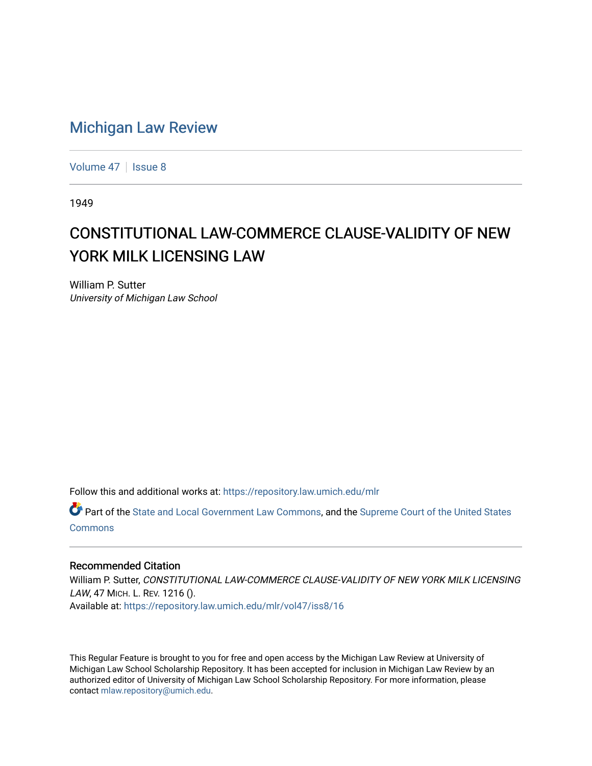## [Michigan Law Review](https://repository.law.umich.edu/mlr)

[Volume 47](https://repository.law.umich.edu/mlr/vol47) | [Issue 8](https://repository.law.umich.edu/mlr/vol47/iss8)

1949

## CONSTITUTIONAL LAW-COMMERCE CLAUSE-VALIDITY OF NEW YORK MILK LICENSING LAW

William P. Sutter University of Michigan Law School

Follow this and additional works at: [https://repository.law.umich.edu/mlr](https://repository.law.umich.edu/mlr?utm_source=repository.law.umich.edu%2Fmlr%2Fvol47%2Fiss8%2F16&utm_medium=PDF&utm_campaign=PDFCoverPages) 

Part of the [State and Local Government Law Commons](http://network.bepress.com/hgg/discipline/879?utm_source=repository.law.umich.edu%2Fmlr%2Fvol47%2Fiss8%2F16&utm_medium=PDF&utm_campaign=PDFCoverPages), and the [Supreme Court of the United States](http://network.bepress.com/hgg/discipline/1350?utm_source=repository.law.umich.edu%2Fmlr%2Fvol47%2Fiss8%2F16&utm_medium=PDF&utm_campaign=PDFCoverPages) [Commons](http://network.bepress.com/hgg/discipline/1350?utm_source=repository.law.umich.edu%2Fmlr%2Fvol47%2Fiss8%2F16&utm_medium=PDF&utm_campaign=PDFCoverPages)

## Recommended Citation

William P. Sutter, CONSTITUTIONAL LAW-COMMERCE CLAUSE-VALIDITY OF NEW YORK MILK LICENSING LAW, 47 MICH. L. REV. 1216 (). Available at: [https://repository.law.umich.edu/mlr/vol47/iss8/16](https://repository.law.umich.edu/mlr/vol47/iss8/16?utm_source=repository.law.umich.edu%2Fmlr%2Fvol47%2Fiss8%2F16&utm_medium=PDF&utm_campaign=PDFCoverPages) 

This Regular Feature is brought to you for free and open access by the Michigan Law Review at University of Michigan Law School Scholarship Repository. It has been accepted for inclusion in Michigan Law Review by an authorized editor of University of Michigan Law School Scholarship Repository. For more information, please contact [mlaw.repository@umich.edu](mailto:mlaw.repository@umich.edu).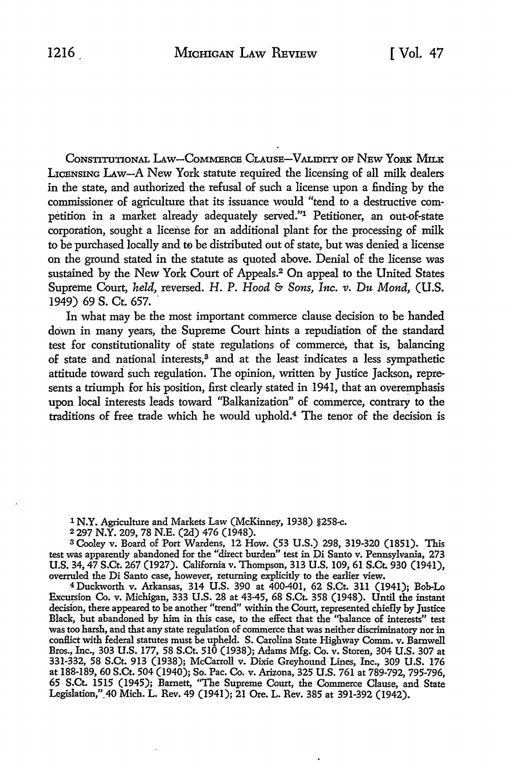CONSTITUTIONAL LAW-COMMERCE CLAUSE-VALIDITY OF NEW YORK MILK LICENSING LAw-A New York statute required the licensing of all milk dealers in the state, and authorized the refusal of such a license upon a finding by the commissioner of agriculture that its issuance would "tend to a destructive competition in a market already adequately served."1 Petitioner, an out-of-state corporation, sought a license for an additional plant for the processing of milk to be purchased locally and to be distributed out of state, but was denied a license on the ground stated in the statute as quoted above. Denial of the license was sustained by the New York Court of Appeals.2 On appeal to the United States Supreme Court, *held,* reversed. H. P. *Hood* & *Sons, Inc. v. Du Mond,* **(U.S.**  1949) 69 S. Ct. 657.

In what may be the most important commerce clause decision to be handed down in many years, the Supreme Court hints a repudiation of the standard *test* for constitutionality of state regulations of commerce, that is, balancing of state and national interests,<sup>3</sup> and at the least indicates a less sympathetic attitude toward such regulation. The opinion, written by Justice Jackson, represents a triumph for his position, first clearly stated in 1941, that an overemphasis upon local interests leads toward "Balkanization" of commerce, contrary to the traditions of free trade which he would uphold.4 The tenor of the decision is

<sup>1</sup>**N.Y.** Agriculture and Markets Law (McKinney, 1938) §258-c.

<sup>2</sup>297 **N.Y.** 209, 78 N.E. (2d) 476 (1948).

s Cooley v. Board of Port Wardens, 12 How. (53 U.S.) 298, 319-320 (1851). This test was apparently abandoned for the "direct burden" test in Di Santo v. Pennsylvania, 273 U.S. 34, 47 S.Ct. 267 (1927). California v. Thompson, 313 U.S. 109, 61 S.Ct. 930 (1941), overruled the Di Santo case, however, returning explicitly to the earlier view.

<sup>4</sup>Duckworth v. Arkansas, 314 U.S. 390 at 400-401, 62 S.Ct. 311 (1941); Bob-Lo Ex~ion Co. v. Michigan, 333 U.S. 28 at 43-45, 68 S.Ct. 358 (1948). Until the instant decision, there appeared to be another "trend" within the Court, represented chiefly by Justice Black, but abandoned by him in this case, to the effect that the "balance of interests" test was too harsh, and that any state regulation of commerce that was neither discriminatory nor in conflict with federal statutes must be upheld. S. Carolina State Highway Comm. v. Barnwell Bros., Inc., 303 U.S. 177, 58 S.Ct. 510 (1938); Adams Mfg. Co. v. Storen, 304 U.S. 307 at 331-332, 58 S.Ct. 913 (1938); McCarroll v. Dixie Greyhound Lines, Inc., 309 U.S. 176 at 188-189, 60 S.Ct. 504 (1940); So. Pac. Co. v. Arizona, 325 U.S. 761 at 789-792, 795-796, 65 S.Ct. 1515 (1945); Barnett, "The Supreme Court, the Commerce Clause, and State Legislation,"\_40 Mich. L. Rev. 49 (1941); 21 Ore. L. Rev. 385 at 391-392 (1942).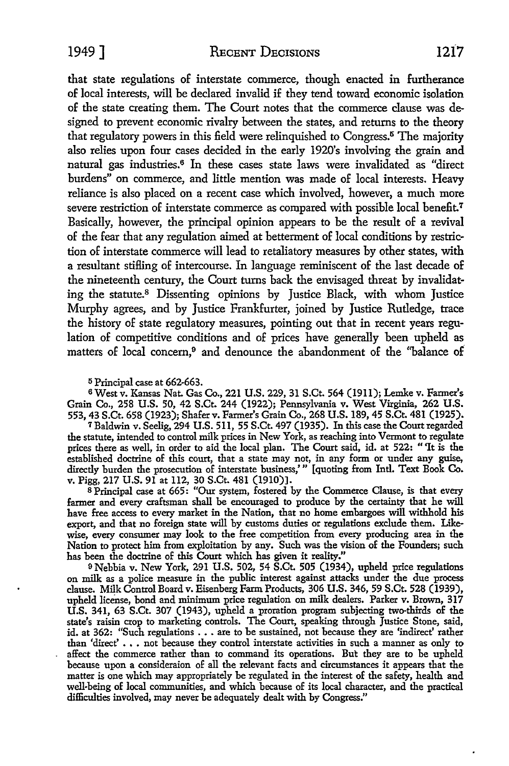1949 ] RECENT DECISIONS 1217

that state regulations of interstate commerce, though enacted in furtherance of local interests, will be declared invalid if they tend toward economic isolation of the state creating them. The Court notes that the commerce clause was designed to prevent economic rivalry between the states, and returns to the theory that regulatory powers in this field were relinquished to Congress.5 The majority also relies upon four cases decided in the early 1920's involving the grain and natural gas industries.6 In these cases state laws were invalidated as "direct burdens" on commerce, and little mention was made of local interests. Heavy reliance is also placed on a recent case which involved, however, a much more severe restriction of interstate commerce as compared with possible local benefit.<sup>7</sup> Basically, however, the principal opinion appears to be the result of a revival of the fear that any regulation aimed at betterment of local conditions by restriction of interstate commerce will lead to retaliatory measures by other states, with a resultant stiffing of intercourse. In language reminiscent of the last decade of the nineteenth century, the Court turns back the envisaged threat by invalidating the statute.8 Dissenting opinions by Justice Black, with whom Justice Murphy agrees, and by Justice Frankfurter, joined by Justice Rutledge, trace the history of state regulatory measures, pointing out that in recent years regulation of competitive conditions and of prices have generally been upheld as matters of local concern,<sup>9</sup> and denounce the abandonment of the "balance of

<sup>5</sup> Principal case at 662-663.

6 West v. Kansas Nat. Gas Co., 221 U.S. 229, 31 S.Ct. 564 (1911); Lemke v. Farmer's Grain Co., 258 U.S. 50, 42 S.Ct. 244 (1922); Pennsylvania v. West Virginia, 262 U.S. 553, 43 S.Ct. 658 (1923); Shaferv. Farmer's Grain Co., 268 U.S. 189, 45 S.Ct. 481 (1925).

<sup>7</sup>Baldwin v. Seelig, 294 U.S. 511, 55 S.Ct. 497 (1935). In this case the Court regarded the statute, intended to control milk prices in New York, as reaching into Vermont to regulate prices there as well, in order to aid the local plan. The Court said, id. at 522: "'It is the established doctrine of this court, that a state may not, in any form or under any guise, directly burden the prosecution of interstate business,'" [quoting from Intl. Text Book Co.

v. Pigg, 217 U.S. 91 at 112, 30 S.Ct. 481 (1910)].<br>8 Principal case at 665: "Our system, fostered by the Commerce Clause, is that every farmer and every craftsman shall be encouraged to produce by the certainty that he will have free access to every market in the Nation, that no home embargoes will withhold his export, and that no foreign state will by customs duties or regulations exclude them. Likewise, every consumer may look to the free competition from every producing area in the Nation to protect him from exploitation by any. Such was the vision of the Founders; such has been the doctrine of this Court which has given it reality."

0Nebbia v. New York, 291 U.S. 502, 54 S.Ct. 505 (1934), upheld price regulations on milk as a police measure in the public interest against attacks under the due process clause. Milk Control Board v. Eisenberg Farm Products, 306 U.S. 346, 59 S.Ct. 528 (1939), upheld license, bond and minimum price regulation on milk dealers. Parker v. Brown, 317 U.S. 341, 63 S.Ct. 307 (1943), upheld a proration program subjecting two-thirds of the state's raisin crop to marketing controls. The Court, speaking through Justice Stone, said, id. at 362: "Such regulations . . . are to be sustained, not because they are 'indirect' rather than 'direct' ••• not because they control interstate activities in such a manner as only to affect the commerce rather than to command its operations. But they are to be upheld because upon a consideraion of all the relevant facts and circumstances it appears that the matter is one which may appropriately be regulated in the interest of the safety, health and well-being of local communities, and which because of its local character, and the practical difficulties involved, may never be adequately dealt with by Congress."